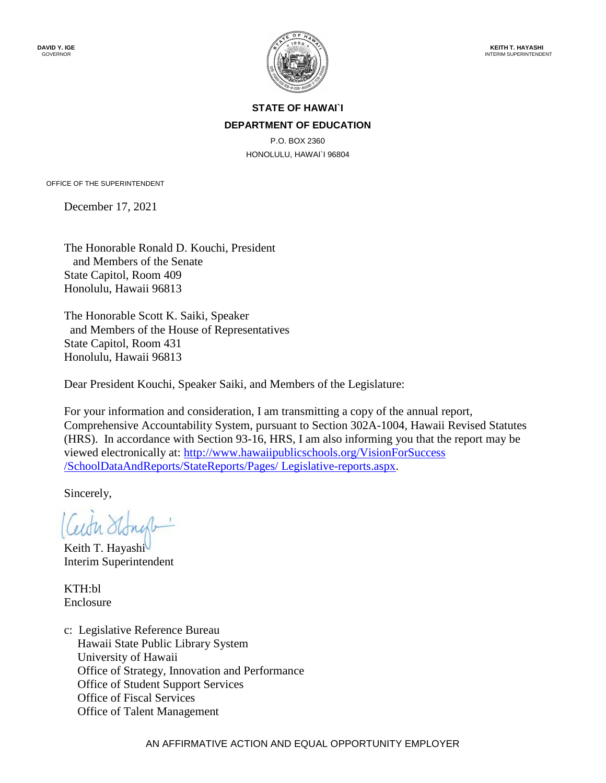

# **STATE OF HAWAI`I DEPARTMENT OF EDUCATION**

P.O. BOX 2360 HONOLULU, HAWAI`I 96804

OFFICE OF THE SUPERINTENDENT

December 17, 2021

The Honorable Ronald D. Kouchi, President and Members of the Senate State Capitol, Room 409 Honolulu, Hawaii 96813

The Honorable Scott K. Saiki, Speaker and Members of the House of Representatives State Capitol, Room 431 Honolulu, Hawaii 96813

Dear President Kouchi, Speaker Saiki, and Members of the Legislature:

For your information and consideration, I am transmitting a copy of the annual report, Comprehensive Accountability System, pursuant to Section 302A-1004, Hawaii Revised Statutes (HRS). In accordance with Section 93-16, HRS, I am also informing you that the report may be viewed electronically at: [http://www.hawaiipublicschools.org/VisionForSuccess](http://www.hawaiipublicschools.org/VisionForSuccess%20/SchoolDataAndReports/StateReports/Pages/%20Legislative-reports.aspx) [/SchoolDataAndReports/StateReports/Pages/ Legislative-reports.aspx.](http://www.hawaiipublicschools.org/VisionForSuccess%20/SchoolDataAndReports/StateReports/Pages/%20Legislative-reports.aspx)

Sincerely,

Keith T. Hayashi Interim Superintendent

KTH:bl Enclosure

c: Legislative Reference Bureau Hawaii State Public Library System University of Hawaii Office of Strategy, Innovation and Performance Office of Student Support Services Office of Fiscal Services Office of Talent Management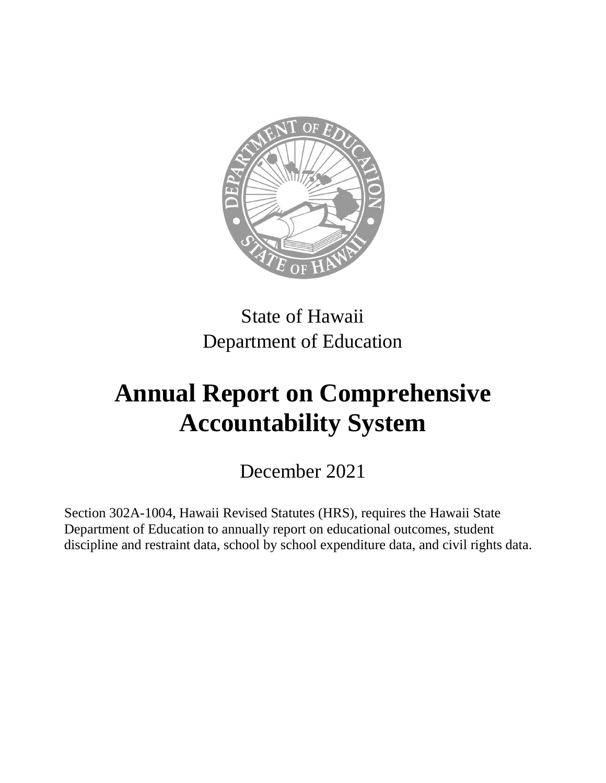

# State of Hawaii Department of Education

# **Annual Report on Comprehensive Accountability System**

December 2021

Section 302A-1004, Hawaii Revised Statutes (HRS), requires the Hawaii State Department of Education to annually report on educational outcomes, student discipline and restraint data, school by school expenditure data, and civil rights data.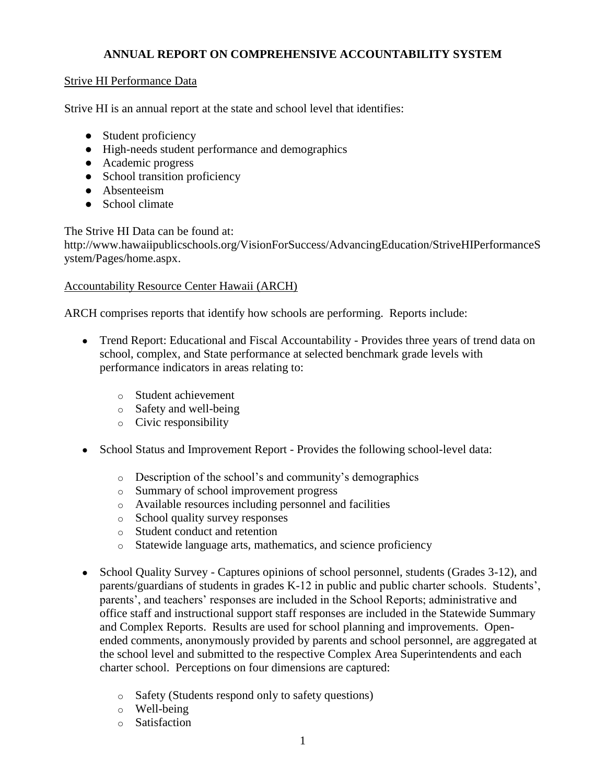# **ANNUAL REPORT ON COMPREHENSIVE ACCOUNTABILITY SYSTEM**

#### Strive HI Performance Data

Strive HI is an annual report at the state and school level that identifies:

- Student proficiency
- High-needs student performance and demographics
- Academic progress
- School transition proficiency
- Absenteeism
- School climate

The Strive HI Data can be found at:

[http://www.hawaiipublicschools.org/VisionForSuccess/AdvancingEducation/StriveHIPerformanceS](http://www.hawaiipublicschools.org/VisionForSuccess/AdvancingEducation/StriveHIPerformanceSystem/Pages/home.aspx) [ystem/Pages/home.aspx.](http://www.hawaiipublicschools.org/VisionForSuccess/AdvancingEducation/StriveHIPerformanceSystem/Pages/home.aspx)

#### Accountability Resource Center Hawaii (ARCH)

ARCH comprises reports that identify how schools are performing. Reports include:

- Trend Report: Educational and Fiscal Accountability Provides three years of trend data on school, complex, and State performance at selected benchmark grade levels with performance indicators in areas relating to:
	- o Student achievement
	- o Safety and well-being
	- o Civic responsibility
- School Status and Improvement Report Provides the following school-level data:
	- o Description of the school's and community's demographics
	- o Summary of school improvement progress
	- o Available resources including personnel and facilities
	- o School quality survey responses
	- o Student conduct and retention
	- o Statewide language arts, mathematics, and science proficiency
- School Quality Survey Captures opinions of school personnel, students (Grades 3-12), and parents/guardians of students in grades K-12 in public and public charter schools. Students', parents', and teachers' responses are included in the School Reports; administrative and office staff and instructional support staff responses are included in the Statewide Summary and Complex Reports. Results are used for school planning and improvements. Openended comments, anonymously provided by parents and school personnel, are aggregated at the school level and submitted to the respective Complex Area Superintendents and each charter school. Perceptions on four dimensions are captured:
	- o Safety (Students respond only to safety questions)
	- o Well-being
	- o Satisfaction